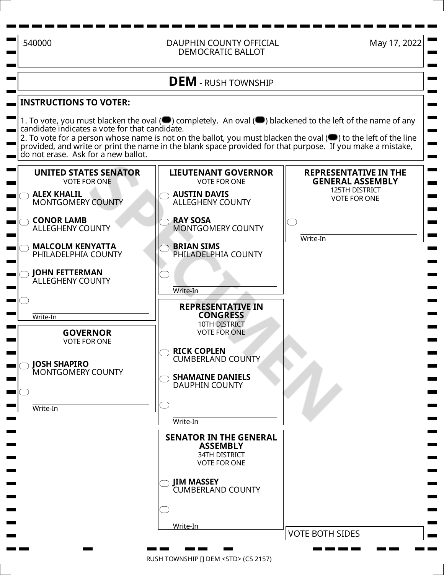## 540000 DAUPHIN COUNTY OFFICIAL DEMOCRATIC BALLOT

May 17, 2022

## **DEM** - RUSH TOWNSHIP

## **INSTRUCTIONS TO VOTER:**

1. To vote, you must blacken the oval ( $\blacksquare$ ) completely. An oval ( $\blacksquare$ ) blackened to the left of the name of any candidate indicates a vote for that candidate.

2. To vote for a person whose name is not on the ballot, you must blacken the oval ( $\blacksquare$ ) to the left of the line provided, and write or print the name in the blank space provided for that purpose. If you make a mistake, do not erase. Ask for a new ballot.

| <b>UNITED STATES SENATOR</b><br><b>VOTE FOR ONE</b> | <b>LIEUTENANT GOVERNOR</b><br><b>VOTE FOR ONE</b>                                                  | <b>REPRESENTATIVE IN THE</b><br><b>GENERAL ASSEMBLY</b> |
|-----------------------------------------------------|----------------------------------------------------------------------------------------------------|---------------------------------------------------------|
| <b>ALEX KHALIL</b><br><b>MONTGOMERY COUNTY</b>      | <b>AUSTIN DAVIS</b><br><b>ALLEGHENY COUNTY</b>                                                     | 125TH DISTRICT<br><b>VOTE FOR ONE</b>                   |
| <b>CONOR LAMB</b><br><b>ALLEGHENY COUNTY</b>        | <b>RAY SOSA</b><br><b>MONTGOMERY COUNTY</b>                                                        | Write-In                                                |
| <b>MALCOLM KENYATTA</b><br>PHILADELPHIA COUNTY      | <b>BRIAN SIMS</b><br>PHILADELPHIA COUNTY                                                           |                                                         |
| <b>JOHN FETTERMAN</b><br>ALLEGHENY COUNTY           | Write-In                                                                                           |                                                         |
| Write-In                                            | <b>REPRESENTATIVE IN</b><br><b>CONGRESS</b>                                                        |                                                         |
| <b>GOVERNOR</b><br><b>VOTE FOR ONE</b>              | 10TH DISTRICT<br><b>VOTE FOR ONE</b>                                                               |                                                         |
| <b>JOSH SHAPIRO</b><br>MONTGOMERY COUNTY            | <b>RICK COPLEN</b><br><b>CUMBERLAND COUNTY</b><br><b>SHAMAINE DANIELS</b><br><b>DAUPHIN COUNTY</b> |                                                         |
| Write-In                                            | Write-In                                                                                           |                                                         |
|                                                     | <b>SENATOR IN THE GENERAL</b><br><b>ASSEMBLY</b><br><b>34TH DISTRICT</b><br><b>VOTE FOR ONE</b>    |                                                         |
|                                                     | <b>JIM MASSEY</b><br><b>CUMBERLAND COUNTY</b>                                                      |                                                         |
|                                                     | Write-In                                                                                           | <b>VOTE BOTH SIDES</b>                                  |